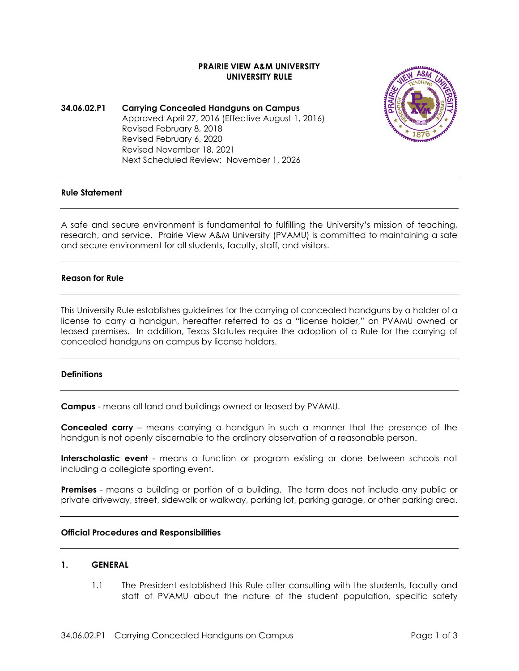# **PRAIRIE VIEW A&M UNIVERSITY UNIVERSITY RULE**

## **34.06.02.P1 Carrying Concealed Handguns on Campus** Approved April 27, 2016 (Effective August 1, 2016) Revised February 8, 2018 Revised February 6, 2020 Revised November 18, 2021 Next Scheduled Review: November 1, 2026



#### **Rule Statement**

A safe and secure environment is fundamental to fulfilling the University's mission of teaching, research, and service. Prairie View A&M University (PVAMU) is committed to maintaining a safe and secure environment for all students, faculty, staff, and visitors.

## **Reason for Rule**

This University Rule establishes guidelines for the carrying of concealed handguns by a holder of a license to carry a handgun, hereafter referred to as a "license holder," on PVAMU owned or leased premises. In addition, Texas Statutes require the adoption of a Rule for the carrying of concealed handguns on campus by license holders.

#### **Definitions**

**Campus** - means all land and buildings owned or leased by PVAMU.

**Concealed carry** – means carrying a handgun in such a manner that the presence of the handgun is not openly discernable to the ordinary observation of a reasonable person.

**Interscholastic event** - means a function or program existing or done between schools not including a collegiate sporting event.

**Premises** - means a building or portion of a building. The term does not include any public or private driveway, street, sidewalk or walkway, parking lot, parking garage, or other parking area.

### **Official Procedures and Responsibilities**

### **1. GENERAL**

1.1 The President established this Rule after consulting with the students, faculty and staff of PVAMU about the nature of the student population, specific safety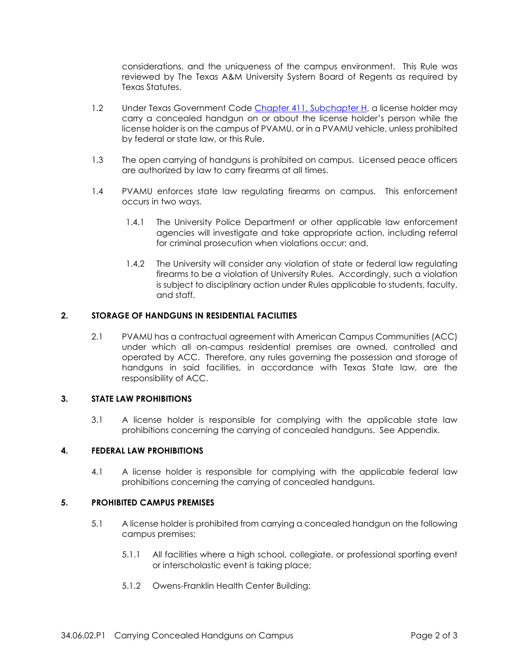considerations, and the uniqueness of the campus environment. This Rule was reviewed by The Texas A&M University System Board of Regents as required by Texas Statutes.

- 1.2 Under Texas Government Code [Chapter 411, Subchapter H,](http://www.statutes.legis.state.tx.us/Docs/GV/htm/GV.411.htm) a license holder may carry a concealed handgun on or about the license holder's person while the license holder is on the campus of PVAMU, or in a PVAMU vehicle, unless prohibited by federal or state law, or this Rule.
- 1.3 The open carrying of handguns is prohibited on campus. Licensed peace officers are authorized by law to carry firearms at all times.
- 1.4 PVAMU enforces state law regulating firearms on campus. This enforcement occurs in two ways.
	- 1.4.1 The University Police Department or other applicable law enforcement agencies will investigate and take appropriate action, including referral for criminal prosecution when violations occur; and,
	- 1.4.2 The University will consider any violation of state or federal law regulating firearms to be a violation of University Rules. Accordingly, such a violation is subject to disciplinary action under Rules applicable to students, faculty, and staff.

## **2. STORAGE OF HANDGUNS IN RESIDENTIAL FACILITIES**

2.1 PVAMU has a contractual agreement with American Campus Communities (ACC) under which all on-campus residential premises are owned, controlled and operated by ACC. Therefore, any rules governing the possession and storage of handguns in said facilities, in accordance with Texas State law, are the responsibility of ACC.

#### **3. STATE LAW PROHIBITIONS**

3.1 A license holder is responsible for complying with the applicable state law prohibitions concerning the carrying of concealed handguns. See Appendix.

#### **4. FEDERAL LAW PROHIBITIONS**

4.1 A license holder is responsible for complying with the applicable federal law prohibitions concerning the carrying of concealed handguns.

## **5. PROHIBITED CAMPUS PREMISES**

- 5.1 A license holder is prohibited from carrying a concealed handgun on the following campus premises:
	- 5.1.1 All facilities where a high school, collegiate, or professional sporting event or interscholastic event is taking place;
	- 5.1.2 Owens-Franklin Health Center Building;